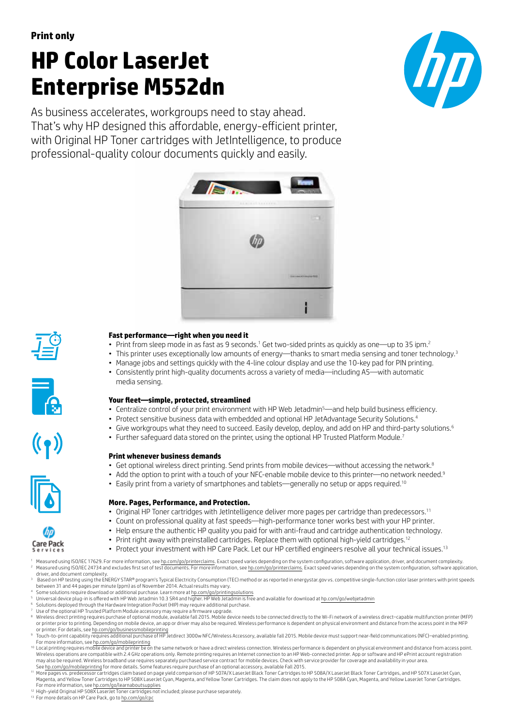# **HP Color LaserJet Enterprise M552dn**



As business accelerates, workgroups need to stay ahead. That's why HP designed this affordable, energy-efficient printer, with Original HP Toner cartridges with JetIntelligence, to produce professional-quality colour documents quickly and easily.





**Care Pack** 

## **Fast performance—right when you need it**

- Print from sleep mode in as fast as 9 seconds. $^1$  Get two-sided prints as quickly as one—up to 35 ipm. $^2$
- This printer uses exceptionally low amounts of energy—thanks to smart media sensing and toner technology.<sup>3</sup>
- Manage jobs and settings quickly with the 4-line colour display and use the 10-key pad for PIN printing.
- Consistently print high-quality documents across a variety of media—including A5—with automatic media sensing.

## **Your fleet—simple, protected, streamlined**

- Centralize control of your print environment with HP Web Jetadmin<sup>5</sup>—and help build business efficiency.
- Protect sensitive business data with embedded and optional HP JetAdvantage Security Solutions.<sup>4</sup>
- Give workgroups what they need to succeed. Easily develop, deploy, and add on HP and third-party solutions.<sup>6</sup>
- Further safeguard data stored on the printer, using the optional HP Trusted Platform Module.<sup>7</sup>

#### **Print whenever business demands**

- Get optional wireless direct printing. Send prints from mobile devices—without accessing the network.<sup>8</sup>
- Add the option to print with a touch of your NFC-enable mobile device to this printer—no network needed.<sup>9</sup>
- Easily print from a variety of smartphones and tablets—generally no setup or apps required.<sup>10</sup>

#### **More. Pages, Performance, and Protection.**

- Original HP Toner cartridges with JetIntelligence deliver more pages per cartridge than predecessors.<sup>11</sup>
- Count on professional quality at fast speeds—high-performance toner works best with your HP printer.
- Help ensure the authentic HP quality you paid for with anti-fraud and cartridge authentication technology.
- Print right away with preinstalled cartridges. Replace them with optional high-yield cartridges.<sup>12</sup>
- Protect your investment with HP Care Pack. Let our HP certified engineers resolve all your technical issues.<sup>13</sup>
- Measured using ISO/IEC 17629. For more information, see [hp.com/go/printerclaims](http://hp.com/go/printerclaims). Exact speed varies depending on the system configuration, software application, driver, and document complexity. Measured using ISO/IEC 24734 and excludes first set of test documents. For more information, see [hp.com/go/printerclaims.](http://hp.com/go/printerclaims) Exact speed varies depending on the system configuration, software application, driver, and document complexity.

<sup>3</sup> Based on HP testing using the ENERGY STAR® program's Typical Electricity Consumption (TEC) method or as reported in energystar.gov vs. competitive single-function color laser printers with print speeds between 31 and 44 pages per minute (ppm) as of November 2014. Actual results may vary.<br>4 Some solutions require download or additional purchase. Learn more at [hp.com/go/printingsolutions](http://hp.com/go/printingsolutions)

- 
- Universal device plug-in is offered with HP Web Jetadmin 10.3 SR4 and higher. HP Web Jetadmin is free and available for download at [hp.com/go/webjetadmin](http://hp.com/go/webjetadmin)
- <sup>6</sup> Solutions deployed through the Hardware Integration Pocket (HIP) may require additional purchase. Use of the optional HP Trusted Platform Module accessory may require a firmware upgrade.
- Wireless direct printing requires purchase of optional module, available fall 2015. Mobile device needs to be connected directly to the Wi-Fi network of a wireless direct–capable multifunction printer (MFP) or printer prior to printing. Depending on mobile device, an app or driver may also be required. Wireless performance is dependent on physical environment and distance from the access point in the MFP
- or printer. For details, see h<u>p.com/go/businessmobileprinting</u><br>® Touch-to-print capability requires additional purchase of HP Jetdirect 3000w NFC/Wireless Accessory, available fall 2015. Mobile device must support near-fi For more information, see [hp.com/go/mobileprinting](http://hp.com/go/mobileprinting)
- $10$  Local printing requires mobile device and printer be on the same network or have a direct wireless connection. Wireless performance is dependent on physical environment and distance from access point. Wireless operations are compatible with 2.4 GHz operations only. Remote printing requires an Internet connection to an HP Web-connected printer. App or software and HP ePrint account registration may also be required. Wireless broadband use requires separately purchased service contract for mobile devices. Check with service provider for coverage and availability in your area. See [hp.com/go/mobileprinting](http://hp.com/go/mobileprinting) for more details. Some features require purchase of an optional accessory, available Fall 2015.
- <sup>11</sup> More pages vs. predecessor cartridges claim based on page yield comparison of HP 507A/X LaserJet Black Toner Cartridges to HP 508A/X LaserJet Black Toner Cartridges, and HP 507X LaserJet Cyan, Magenta, and Yellow Toner Cartridges to HP 508X LaserJet Cyan, Magenta, and Yellow Toner Cartridges. The claim does not apply to the HP 508A Cyan, Magenta, and Yellow LaserJet Toner Cartridges. For more information, see [hp.com/go/learnaboutsupplies](http://hp.com/go/learnaboutsupplies) <sup>12</sup> High-yield Original HP 508X LaserJet Toner cartridges not included; please purchase separately.
- 
- 13 For more details on HP Care Pack, go to [hp.com/go/cpc](http://hp.com/go/cpc)